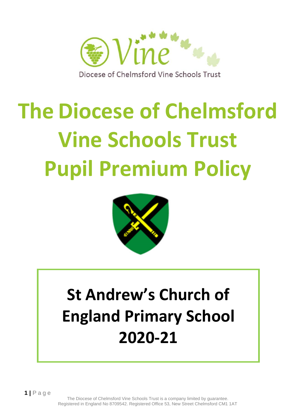

# **The Diocese of Chelmsford Vine Schools Trust Pupil Premium Policy**



# **St Andrew's Church of England Primary School 2020-21**

**1 |** P a g e

The Diocese of Chelmsford Vine Schools Trust is a company limited by guarantee. Registered in England No 8709542. Registered Office 53, New Street Chelmsford CM1 1AT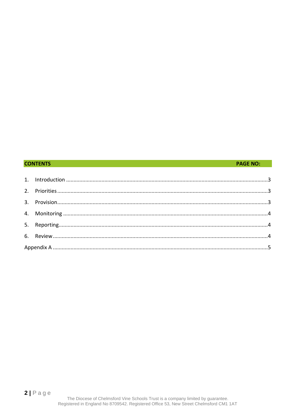#### **CONTENTS**

#### **PAGE NO:**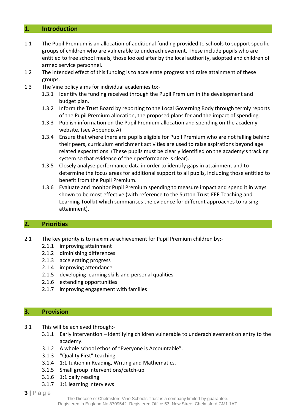#### <span id="page-2-0"></span>**1. Introduction**

- 1.1 The Pupil Premium is an allocation of additional funding provided to schools to support specific groups of children who are vulnerable to underachievement. These include pupils who are entitled to free school meals, those looked after by the local authority, adopted and children of armed service personnel.
- 1.2 The intended effect of this funding is to accelerate progress and raise attainment of these groups.
- 1.3 The Vine policy aims for individual academies to:-
	- 1.3.1 Identify the funding received through the Pupil Premium in the development and budget plan.
	- 1.3.2 Inform the Trust Board by reporting to the Local Governing Body through termly reports of the Pupil Premium allocation, the proposed plans for and the impact of spending.
	- 1.3.3 Publish information on the Pupil Premium allocation and spending on the academy website. (see Appendix A)
	- 1.3.4 Ensure that where there are pupils eligible for Pupil Premium who are not falling behind their peers, curriculum enrichment activities are used to raise aspirations beyond age related expectations. (These pupils must be clearly identified on the academy's tracking system so that evidence of their performance is clear).
	- 1.3.5 Closely analyse performance data in order to identify gaps in attainment and to determine the focus areas for additional support to all pupils, including those entitled to benefit from the Pupil Premium.
	- 1.3.6 Evaluate and monitor Pupil Premium spending to measure impact and spend it in ways shown to be most effective (with reference to the Sutton Trust-EEF Teaching and Learning Toolkit which summarises the evidence for different approaches to raising attainment).

#### <span id="page-2-1"></span>**2. Priorities**

- 2.1 The key priority is to maximise achievement for Pupil Premium children by:-
	- 2.1.1 improving attainment
	- 2.1.2 diminishing differences
	- 2.1.3 accelerating progress
	- 2.1.4 improving attendance
	- 2.1.5 developing learning skills and personal qualities
	- 2.1.6 extending opportunities
	- 2.1.7 improving engagement with families

#### <span id="page-2-2"></span>**3. Provision**

- 3.1 This will be achieved through:-
	- 3.1.1 Early intervention identifying children vulnerable to underachievement on entry to the academy.
	- 3.1.2 A whole school ethos of "Everyone is Accountable".
	- 3.1.3 "Quality First" teaching.
	- 3.1.4 1:1 tuition in Reading, Writing and Mathematics.
	- 3.1.5 Small group interventions/catch-up
	- 3.1.6 1:1 daily reading
	- 3.1.7 1:1 learning interviews
- **3 |** P a g e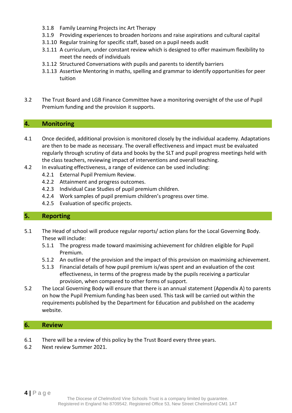- 3.1.8 Family Learning Projects inc Art Therapy
- 3.1.9 Providing experiences to broaden horizons and raise aspirations and cultural capital
- 3.1.10 Regular training for specific staff, based on a pupil needs audit
- 3.1.11 A curriculum, under constant review which is designed to offer maximum flexibility to meet the needs of individuals
- 3.1.12 Structured Conversations with pupils and parents to identify barriers
- 3.1.13 Assertive Mentoring in maths, spelling and grammar to identify opportunities for peer tuition
- 3.2 The Trust Board and LGB Finance Committee have a monitoring oversight of the use of Pupil Premium funding and the provision it supports.

#### <span id="page-3-0"></span>**4. Monitoring**

- 4.1 Once decided, additional provision is monitored closely by the individual academy. Adaptations are then to be made as necessary. The overall effectiveness and impact must be evaluated regularly through scrutiny of data and books by the SLT and pupil progress meetings held with the class teachers, reviewing impact of interventions and overall teaching.
- 4.2 In evaluating effectiveness, a range of evidence can be used including:
	- 4.2.1 External Pupil Premium Review.
	- 4.2.2 Attainment and progress outcomes.
	- 4.2.3 Individual Case Studies of pupil premium children.
	- 4.2.4 Work samples of pupil premium children's progress over time.
	- 4.2.5 Evaluation of specific projects.

#### <span id="page-3-1"></span>**5. Reporting**

- 5.1 The Head of school will produce regular reports/ action plans for the Local Governing Body. These will include:
	- 5.1.1 The progress made toward maximising achievement for children eligible for Pupil Premium.
	- 5.1.2 An outline of the provision and the impact of this provision on maximising achievement.
	- 5.1.3 Financial details of how pupil premium is/was spent and an evaluation of the cost effectiveness, in terms of the progress made by the pupils receiving a particular provision, when compared to other forms of support.
- 5.2 The Local Governing Body will ensure that there is an annual statement (Appendix A) to parents on how the Pupil Premium funding has been used. This task will be carried out within the requirements published by the Department for Education and published on the academy website.

#### <span id="page-3-2"></span>**6. Review**

- 6.1 There will be a review of this policy by the Trust Board every three years.
- 6.2 Next review Summer 2021.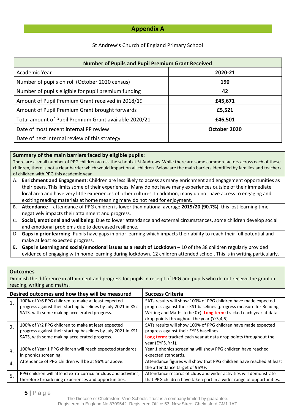#### **Appendix A**

#### St Andrew's Church of England Primary School

| <b>Number of Pupils and Pupil Premium Grant Received</b> |              |  |  |
|----------------------------------------------------------|--------------|--|--|
| Academic Year                                            | 2020-21      |  |  |
| Number of pupils on roll (October 2020 census)           | 190          |  |  |
| Number of pupils eligible for pupil premium funding      | 42           |  |  |
| Amount of Pupil Premium Grant received in 2018/19        | £45,671      |  |  |
| Amount of Pupil Premium Grant brought forwards           | £5,521       |  |  |
| Total amount of Pupil Premium Grant available 2020/21    | £46,501      |  |  |
| Date of most recent internal PP review                   | October 2020 |  |  |
| Date of next internal review of this strategy            |              |  |  |

#### **Summary of the main barriers faced by eligible pupils:**

There are a small number of PPG children across the school at St Andrews. While there are some common factors across each of these children, there is not a clear barrier which would impact on all children. Below are the main barriers identified by families and teachers of children with PPG this academic year

- A. **Enrichment and Engagement:** Children are less likely to access as many enrichment and engagement opportunities as their peers. This limits some of their experiences. Many do not have many experiences outside of their immediate local area and have very little experiences of other cultures. In addition, many do not have access to engaging and exciting reading materials at home meaning many do not read for enjoyment.
- B. **Attendance** attendance of PPG children is lower than national average **2019/20 (90.7%)**, this lost learning time negatively impacts their attainment and progress.
- C. **Social, emotional and wellbeing:** Due to lower attendance and external circumstances, some children develop social and emotional problems due to decreased resilience.
- D. **Gaps in prior learning**: Pupils have gaps in prior learning which impacts their ability to reach their full potential and make at least expected progress.
- **E. Gaps in Learning and social/emotional issues as a result of Lockdown –** 10 of the 38 children regularly provided evidence of engaging with home learning during lockdown. 12 children attended school. This is in writing particularly.

#### **Outcomes**

Diminish the difference in attainment and progress for pupils in receipt of PPG and pupils who do not receive the grant in reading, writing and maths.

|    | Desired outcomes and how they will be measured                                                                                                                      | <b>Success Criteria</b>                                                                                                                                                                                                                                  |  |  |  |
|----|---------------------------------------------------------------------------------------------------------------------------------------------------------------------|----------------------------------------------------------------------------------------------------------------------------------------------------------------------------------------------------------------------------------------------------------|--|--|--|
| 1. | 100% of Yr6 PPG children to make at least expected<br>progress against their starting baselines by July 2021 in KS2<br>SATS, with some making accelerated progress. | SATs results will show 100% of PPG children have made expected<br>progress against their KS1 baselines (progress measure for Reading,<br>Writing and Maths to be 0+). Long term: tracked each year at data<br>drop points throughout the year (Yr3,4,5). |  |  |  |
| 2. | 100% of Yr2 PPG children to make at least expected<br>progress against their starting baselines by July 2021 in KS1<br>SATS, with some making accelerated progress. | SATs results will show 100% of PPG children have made expected<br>progress against their EYFS baselines.<br>Long term: tracked each year at data drop points throughout the<br>year (EYFS, Yr1).                                                         |  |  |  |
| 3. | 100% of Year 1 PPG children will reach expected standards<br>in phonics screening.                                                                                  | Year 1 phonics screening will show PPG children have reached<br>expected standards.                                                                                                                                                                      |  |  |  |
| 4. | Attendance of PPG children will be at 96% or above.                                                                                                                 | Attendance figures will show that PPG children have reached at least<br>the attendance target of 96%+.                                                                                                                                                   |  |  |  |
| 5. | PPG children will attend extra-curricular clubs and activities,<br>therefore broadening experiences and opportunities.                                              | Attendance records of clubs and wider activities will demonstrate<br>that PPG children have taken part in a wider range of opportunities.                                                                                                                |  |  |  |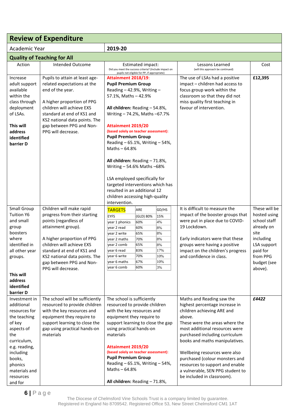|                                                                                                                                                                                                        | <b>Review of Expenditure</b>                                                                                                                                                                                                                                                        |                                                                                                                                                                                                                                                                                                                                                                                                                                                                                                                                                                                                                                                                          |                                                                                 |                                                                       |                                                                                                                                                                                                                                                                                                                                                                                                                     |                                                                                                                                                   |
|--------------------------------------------------------------------------------------------------------------------------------------------------------------------------------------------------------|-------------------------------------------------------------------------------------------------------------------------------------------------------------------------------------------------------------------------------------------------------------------------------------|--------------------------------------------------------------------------------------------------------------------------------------------------------------------------------------------------------------------------------------------------------------------------------------------------------------------------------------------------------------------------------------------------------------------------------------------------------------------------------------------------------------------------------------------------------------------------------------------------------------------------------------------------------------------------|---------------------------------------------------------------------------------|-----------------------------------------------------------------------|---------------------------------------------------------------------------------------------------------------------------------------------------------------------------------------------------------------------------------------------------------------------------------------------------------------------------------------------------------------------------------------------------------------------|---------------------------------------------------------------------------------------------------------------------------------------------------|
| Academic Year                                                                                                                                                                                          |                                                                                                                                                                                                                                                                                     | 2019-20                                                                                                                                                                                                                                                                                                                                                                                                                                                                                                                                                                                                                                                                  |                                                                                 |                                                                       |                                                                                                                                                                                                                                                                                                                                                                                                                     |                                                                                                                                                   |
|                                                                                                                                                                                                        | <b>Quality of Teaching for All</b>                                                                                                                                                                                                                                                  |                                                                                                                                                                                                                                                                                                                                                                                                                                                                                                                                                                                                                                                                          |                                                                                 |                                                                       |                                                                                                                                                                                                                                                                                                                                                                                                                     |                                                                                                                                                   |
| Action                                                                                                                                                                                                 | <b>Intended Outcome</b>                                                                                                                                                                                                                                                             |                                                                                                                                                                                                                                                                                                                                                                                                                                                                                                                                                                                                                                                                          | Estimated impact:                                                               |                                                                       | Lessons Learned<br>(will this approach be continued)                                                                                                                                                                                                                                                                                                                                                                | Cost                                                                                                                                              |
| Increase<br>adult support<br>available<br>within the<br>class through<br>deployment<br>of LSAs.<br>This will<br>address<br>identified<br>barrier D                                                     | Pupils to attain at least age-<br>related expectations at the<br>end of the year.<br>A higher proportion of PPG<br>children will achieve EXS<br>standard at end of KS1 and<br>KS2 national data points. The<br>gap between PPG and Non-<br>PPG will decrease.                       | Did you meet the success criteria? (Include impact on<br>pupils not eligible for PP, if appropriate)<br>Attainment 2018/19:<br><b>Pupil Premium Group</b><br>Reading $-42.9%$ , Writing $-$<br>57.1%, Maths - 42.9%<br>All children: Reading - 54.8%,<br>Writing - 74.2%, Maths -67.7%<br>Attainment 2019/20<br>(based solely on teacher assessment):<br><b>Pupil Premium Group</b><br>Reading $-65.1\%$ , Writing $-54\%$ ,<br>Maths $-64.8%$<br>All children: Reading - 71.8%,<br>Writing - 54.6% Maths - 68%<br>LSA employed specifically for<br>targeted interventions which has<br>resulted in an additional 12<br>children accessing high-quality<br>intervention. |                                                                                 |                                                                       | The use of LSAs had a positive<br>impact - children had access to<br>focus group work within the<br>classroom so that they did not<br>miss quality first teaching in<br>favour of intervention.                                                                                                                                                                                                                     | £12,395                                                                                                                                           |
| Small Group<br><b>Tuition Y6</b><br>and small<br>group<br>boosters<br>where<br>identified in<br>all other year<br>groups.<br>This will<br>address<br>identified<br>barrier D                           | Children will make rapid<br>progress from their starting<br>points (regardless of<br>attainment group).<br>A higher proportion of PPG<br>children will achieve EXS<br>standard at end of KS1 and<br>KS2 national data points. The<br>gap between PPG and Non-<br>PPG will decrease. | <b>TARGETS</b><br><b>EYFS</b><br>year 1 phonics<br>year 2 read<br>vear 2 write<br>vear 2 maths<br>year 2 comb<br>year 6 read<br>year 6 write<br>year 6 maths<br>year 6 comb                                                                                                                                                                                                                                                                                                                                                                                                                                                                                              | ARE<br>(GLD) 80%<br>60%<br>60%<br>65%<br>70%<br>65%<br>83%<br>70%<br>67%<br>60% | GD/HS<br>15%<br>4%<br>8%<br>8%<br>8%<br>8%<br>17%<br>10%<br>10%<br>3% | It is difficult to measure the<br>impact of the booster groups that<br>were put in place due to COVID-<br>19 Lockdown.<br>Early indicators were that these<br>groups were having a positive<br>impact on the children's progress<br>and confidence in class.                                                                                                                                                        | These will be<br>hosted using<br>school staff<br>already on<br>site<br>including<br>LSA support<br>paid for<br>from PPG<br>budget (see<br>above). |
| Investment in<br>additional<br>resources for<br>the teaching<br>of key<br>aspects of<br>the<br>curriculum,<br>e.g. reading,<br>including<br>books,<br>phonics<br>materials and<br>resources<br>and for | The school will be sufficiently<br>resourced to provide children<br>with the key resources and<br>equipment they require to<br>support learning to close the<br>gap using practical hands-on<br>materials                                                                           | The school is sufficiently<br>resourced to provide children<br>with the key resources and<br>equipment they require to<br>support learning to close the gap<br>using practical hands-on<br>materials<br><b>Attainment 2019/20</b><br>(based solely on teacher assessment):<br><b>Pupil Premium Group</b><br>Reading - 65.1%, Writing - 54%,<br>Maths-64.8%<br>All children: Reading - 71.8%,                                                                                                                                                                                                                                                                             |                                                                                 |                                                                       | Maths and Reading saw the<br>highest percentage increase in<br>children achieving ARE and<br>above.<br>These were the areas where the<br>most additional resources were<br>purchased including curriculum<br>books and maths manipulatives.<br>Wellbeing resources were also<br>purchased (colour monsters and<br>resources to support and enable<br>a vulnerable, SEN PPG student to<br>be included in classroom). | £4422                                                                                                                                             |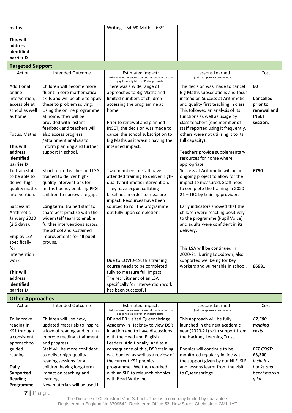| maths.                          |                                                       | Writing - 54.6% Maths - 68%                                                                                               |                                                                    |                             |
|---------------------------------|-------------------------------------------------------|---------------------------------------------------------------------------------------------------------------------------|--------------------------------------------------------------------|-----------------------------|
|                                 |                                                       |                                                                                                                           |                                                                    |                             |
| This will                       |                                                       |                                                                                                                           |                                                                    |                             |
| address                         |                                                       |                                                                                                                           |                                                                    |                             |
| identified<br>barrier D         |                                                       |                                                                                                                           |                                                                    |                             |
|                                 |                                                       |                                                                                                                           |                                                                    |                             |
| <b>Targeted Support</b>         |                                                       |                                                                                                                           |                                                                    |                             |
| Action                          | Intended Outcome                                      | Estimated impact:<br>Did you meet the success criteria? (Include impact on<br>pupils not eligible for PP, if appropriate) | Lessons Learned<br>(will this approach be continued)               | Cost                        |
| Additional                      | Children will become more                             | There was a wide range of                                                                                                 | The decision was made to cancel                                    | £0                          |
| online                          | fluent in core mathematical                           | approaches to Big Maths and                                                                                               | Big Maths subscriptions and focus                                  |                             |
| intervention,                   | skills and will be able to apply                      | limited numbers of children                                                                                               | instead on Success at Arithmetic                                   | <b>Cancelled</b>            |
| accessible at<br>school as well | these to problem solving.                             | accessing the programme at                                                                                                | and quality first teaching in class.                               | prior to                    |
| as home.                        | Using the online programme<br>at home, they will be   | home.                                                                                                                     | This followed an analysis of its<br>functions as well as usage by  | renewal and<br><b>INSET</b> |
|                                 | provided with instant                                 | Prior to renewal and planned                                                                                              | class teachers (one member of                                      | session.                    |
|                                 | feedback and teachers will                            | INSET, the decision was made to                                                                                           | staff reported using it frequently,                                |                             |
| Focus: Maths                    | also access progress                                  | cancel the school subscription to                                                                                         | others were not utilising it to its                                |                             |
|                                 | /attainment analysis to                               | Big Maths as it wasn't having the                                                                                         | full capacity).                                                    |                             |
| This will                       | inform planning and further                           | intended impact.                                                                                                          |                                                                    |                             |
| address                         | support in school.                                    |                                                                                                                           | Teachers provide supplementary                                     |                             |
| identified                      |                                                       |                                                                                                                           | resources for home where                                           |                             |
| barrier D                       |                                                       |                                                                                                                           | appropriate.                                                       |                             |
| To train staff                  | Short term: Teacher and LSA                           | Two members of staff have                                                                                                 | Success at Arithmetic will be an                                   | £790                        |
| to be able to<br>deliver high   | trained to deliver high-<br>quality interventions for | attended training to deliver high-<br>quality arithmetic intervention.                                                    | ongoing project to allow for the<br>impact to measured. Staff need |                             |
| quality maths                   | maths fluency enabling PPG                            | They have begun collating                                                                                                 | to complete the training in 2020-                                  |                             |
| intervention.                   | children to narrow the gap.                           | baselines in order to measure                                                                                             | 21 - TBC by training provider.                                     |                             |
|                                 |                                                       | impact. Resources have been                                                                                               |                                                                    |                             |
| Success at                      | Long term: trained staff to                           | sourced to roll the programme                                                                                             | Early indicators showed that the                                   |                             |
| Arithmetic                      | share best practise with the                          | out fully upon completion.                                                                                                | children were reacting positively                                  |                             |
| January 2020                    | wider staff team to enable                            |                                                                                                                           | to the programme (Pupil Voice)                                     |                             |
| (2.5 days).                     | further interventions across                          |                                                                                                                           | and adults were confident in its                                   |                             |
|                                 | the school and sustained                              |                                                                                                                           | delivery.                                                          |                             |
| <b>Employ LSA</b>               | improvements for all pupil                            |                                                                                                                           |                                                                    |                             |
| specifically<br>for             | groups.                                               |                                                                                                                           | This LSA will be continued in                                      |                             |
| intervention                    |                                                       |                                                                                                                           | 2020-21. During Lockdown, also                                     |                             |
| work.                           |                                                       | Due to COVID-19, this training                                                                                            | supported wellbeing for Key                                        |                             |
|                                 |                                                       | course needs to be completed                                                                                              | workers and vulnerable in school.                                  | £6981                       |
| This will                       |                                                       | fully to measure full impact.                                                                                             |                                                                    |                             |
| address                         |                                                       | The recruitment of an LSA                                                                                                 |                                                                    |                             |
| identified                      |                                                       | specifically for intervention work                                                                                        |                                                                    |                             |
| barrier D                       |                                                       | has been successful                                                                                                       |                                                                    |                             |
| <b>Other Approaches</b>         |                                                       |                                                                                                                           |                                                                    |                             |
| Action                          | <b>Intended Outcome</b>                               | Estimated impact:<br>Did you meet the success criteria? (Include impact on<br>pupils not eligible for PP, if appropriate) | Lessons Learned<br>(will this approach be continued)               | Cost                        |
| To improve                      | Children will use new,                                | DF and BR visited Queensbridge                                                                                            | This approach will be fully                                        | £2,500                      |
| reading in                      | updated materials to inspire                          | Academy in Hackney to view DSR                                                                                            | launched in the next academic                                      | training                    |
| KS1 through<br>a consistent     | a love of reading and in turn                         | in action and to have discussions                                                                                         | year (2020-21) with support from                                   | costs                       |
| approach to                     | improve reading attainment<br>and progress.           | with the Head and English<br>Leaders. Additionally, and as a                                                              | the Hackney Learning Trust.                                        |                             |
| guided                          | Staff will be more confident                          | consequence of this, DSR training                                                                                         | Phonics will continue to be                                        | <b>EST COST:</b>            |
| reading.                        | to deliver high-quality                               | was booked as well as a review of                                                                                         | monitored regularly in line with                                   | £3,300                      |
|                                 | reading sessions for all                              | the current KS1 phonics                                                                                                   | the support given by our NLE, SLE                                  | <b>Includes</b>             |
| <b>Daily</b>                    | children having long-term                             | programme. We then worked                                                                                                 | and lessons learnt from the visit                                  | books and                   |
| Supported                       | impact on teaching and                                | with an SLE to relaunch phonics                                                                                           | to Queensbridge.                                                   | benchmarkin                 |
| <b>Reading</b>                  | learning.                                             | with Read Write Inc.                                                                                                      |                                                                    | g kit.                      |
| Programme                       | New materials will be used in                         |                                                                                                                           |                                                                    |                             |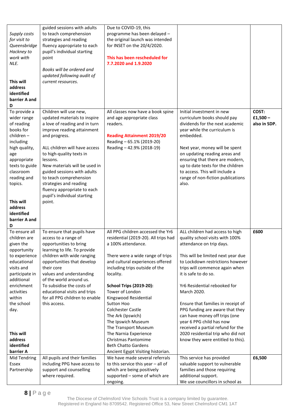| Supply costs<br>for visit to<br>Queensbridge<br>Hackney to<br>work with<br>NLE.<br>This will<br>address<br>identified<br>barrier A and<br>D                                                                                                            | guided sessions with adults<br>to teach comprehension<br>strategies and reading<br>fluency appropriate to each<br>pupil's individual starting<br>point<br>Books will be ordered and<br>updated following audit of<br>current resources.                                                                                                                                                                     | Due to COVID-19, this<br>programme has been delayed -<br>the original launch was intended<br>for INSET on the 20/4/2020.<br>This has been rescheduled for<br>7.7.2020 and 1.9.2020                                                                                                                                                                                                                                                                                                                                                   |                                                                                                                                                                                                                                                                                                                                                                                                                                                                                                                                        |                                    |
|--------------------------------------------------------------------------------------------------------------------------------------------------------------------------------------------------------------------------------------------------------|-------------------------------------------------------------------------------------------------------------------------------------------------------------------------------------------------------------------------------------------------------------------------------------------------------------------------------------------------------------------------------------------------------------|--------------------------------------------------------------------------------------------------------------------------------------------------------------------------------------------------------------------------------------------------------------------------------------------------------------------------------------------------------------------------------------------------------------------------------------------------------------------------------------------------------------------------------------|----------------------------------------------------------------------------------------------------------------------------------------------------------------------------------------------------------------------------------------------------------------------------------------------------------------------------------------------------------------------------------------------------------------------------------------------------------------------------------------------------------------------------------------|------------------------------------|
| To provide a<br>wider range<br>of reading<br>books for<br>children-<br>including<br>high quality,<br>age<br>appropriate<br>texts to guide<br>classroom<br>reading and<br>topics.<br>This will<br>address<br>identified<br>barrier A and<br>D           | Children will use new,<br>updated materials to inspire<br>a love of reading and in turn<br>improve reading attainment<br>and progress.<br>ALL children will have access<br>to high-quality texts in<br>lessons.<br>New materials will be used in<br>guided sessions with adults<br>to teach comprehension<br>strategies and reading<br>fluency appropriate to each<br>pupil's individual starting<br>point. | All classes now have a book spine<br>and age appropriate class<br>readers.<br><b>Reading Attainment 2019/20</b><br>Reading - 65.1% (2019-20)<br>Reading - 42.9% (2018-19)                                                                                                                                                                                                                                                                                                                                                            | Initial investment in new<br>curriculum books should pay<br>dividends for the next academic<br>year while the curriculum is<br>embedded.<br>Next year, money will be spent<br>on updating reading areas and<br>ensuring that there are modern,<br>up to date texts for the children<br>to access. This will include a<br>range of non-fiction publications<br>also.                                                                                                                                                                    | COST:<br>$£1,500-$<br>also in SDP. |
| To ensure all<br>children are<br>given the<br>opportunity<br>to experience<br>educational<br>visits and<br>participate in<br>additional<br>enrichment<br>activities<br>within<br>the school<br>day.<br>This will<br>address<br>identified<br>barrier A | To ensure that pupils have<br>access to a range of<br>opportunities to bring<br>learning to life. To provide<br>children with wide ranging<br>opportunities that develop<br>their core<br>values and understanding<br>of the world around us.<br>To subsidise the costs of<br>educational visits and trips<br>for all PPG children to enable<br>this access.                                                | All PPG children accessed the Yr6<br>residential (2019-20). All trips had<br>a 100% attendance.<br>There were a wide range of trips<br>and cultural experiences offered<br>including trips outside of the<br>locality.<br><b>School Trips (2019-20):</b><br>Tower of London<br>Kingswood Residential<br>Sutton Hoo<br><b>Colchester Castle</b><br>The Ark (Ipswich)<br>The Ipswich Museum<br>The Transport Museum<br>The Narnia Experience<br>Christmas Pantomime<br><b>Beth Chatto Gardens</b><br>Ancient Egypt Visiting historian. | ALL children had access to high<br>quality school visits with 100%<br>attendance on trip days.<br>This will be limited next year due<br>to Lockdown restrictions however<br>trips will commence again when<br>it is safe to do so.<br>Yr6 Residential rebooked for<br>March 2020.<br>Ensure that families in receipt of<br>PPG funding are aware that they<br>can have money off trips (one<br>year 6 PPG child has now<br>received a partial refund for the<br>2020 residential trip who did not<br>know they were entitled to this). | £600                               |
| Mid Tendring<br>Essex<br>Partnership                                                                                                                                                                                                                   | All pupils and their families<br>including PPG have access to<br>support and counselling<br>where required.                                                                                                                                                                                                                                                                                                 | We have made several referrals<br>to this service this year $-$ all of<br>which are being positively<br>supported - some of which are<br>ongoing.                                                                                                                                                                                                                                                                                                                                                                                    | This service has provided<br>valuable support to vulnerable<br>families and those requiring<br>additional support.<br>We use councillors in school as                                                                                                                                                                                                                                                                                                                                                                                  | £6,500                             |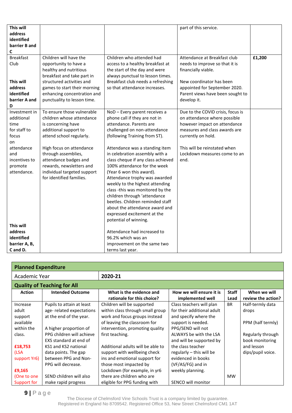| This will        |                              |                                    | part of this service.             |        |
|------------------|------------------------------|------------------------------------|-----------------------------------|--------|
| address          |                              |                                    |                                   |        |
| identified       |                              |                                    |                                   |        |
| barrier B and    |                              |                                    |                                   |        |
| C                |                              |                                    |                                   |        |
| <b>Breakfast</b> | Children will have the       | Children who attended had          | Attendance at Breakfast club      | £1,200 |
| Club             | opportunity to have a        | access to a healthy breakfast at   | needs to improve so that it is    |        |
|                  | healthy and nutritious       | the start of the day and were      | financially viable.               |        |
|                  | breakfast and take part in   | always punctual to lesson times.   |                                   |        |
| This will        | structured activities and    | Breakfast club needs a refreshing  | New coordinator has been          |        |
| address          | games to start their morning | so that attendance increases.      | appointed for September 2020.     |        |
| identified       | enhancing concentration and  |                                    | Parent views have been sought to  |        |
| barrier A and    | punctuality to lesson time.  |                                    | develop it.                       |        |
| D                |                              |                                    |                                   |        |
| Investment in    | To ensure those vulnerable   | NoD - Every parent receives a      | Due to the COVID crisis, focus is |        |
| additional       | children whose attendance    | phone call if they are not in      | on attendance where possible      |        |
| time             | is concerning have           | attendance. Parents are            | however impact on attendance      |        |
| for staff to     | additional support to        | challenged on non-attendance       | measures and class awards are     |        |
| focus            | attend school regularly.     | (following Training from ST).      | currently on hold.                |        |
| on               |                              |                                    |                                   |        |
| attendance       | High focus on attendance     | Attendance was a standing item     | This will be reinstated when      |        |
| and              | through assemblies,          | in celebration assembly with a     | Lockdown measures come to an      |        |
| incentives to    | attendance badges and        | class cheque if any class achieved | end.                              |        |
| promote          | rewards, newsletters and     | 100% attendance for the week       |                                   |        |
| attendance.      | individual targeted support  | (Year 6 won this award).           |                                   |        |
|                  | for identified families.     | Attendance trophy was awarded      |                                   |        |
|                  |                              | weekly to the highest attending    |                                   |        |
|                  |                              | class -this was monitored by the   |                                   |        |
|                  |                              | children through 'attendance       |                                   |        |
|                  |                              | beetles. Children reminded staff   |                                   |        |
|                  |                              | about the attendance award and     |                                   |        |
|                  |                              | expressed excitement at the        |                                   |        |
|                  |                              | potential of winning.              |                                   |        |
| This will        |                              |                                    |                                   |        |
| address          |                              | Attendance had increased to        |                                   |        |
| identified       |                              | 96.2% which was an                 |                                   |        |
| barrier A, B,    |                              | improvement on the same two        |                                   |        |
| C and D.         |                              | terms last year.                   |                                   |        |

| <b>Planned Expenditure</b> |                                    |                                   |                            |              |                    |
|----------------------------|------------------------------------|-----------------------------------|----------------------------|--------------|--------------------|
| Academic Year              |                                    | 2020-21                           |                            |              |                    |
|                            | <b>Quality of Teaching for All</b> |                                   |                            |              |                    |
| <b>Action</b>              | <b>Intended Outcome</b>            | What is the evidence and          | How we will ensure it is   | <b>Staff</b> | When we will       |
|                            |                                    | rationale for this choice?        | implemented well           | Lead         | review the action? |
| Increase                   | Pupils to attain at least          | Children will be supported        | Class teachers will plan   | <b>BR</b>    | Half-termly data   |
| adult                      | age-related expectations           | within class through small group  | for their additional adult |              | drops              |
| support                    | at the end of the year.            | work and focus groups instead     | and specify where the      |              |                    |
| available                  |                                    | of leaving the classroom for      | support is needed.         |              | PPM (half termly)  |
| within the                 | A higher proportion of             | intervention, promoting quality   | PPG/SEND will not          |              |                    |
| class.                     | PPG children will achieve          | first teaching.                   | ALWAYS be with the LSA     |              | Regularly through  |
|                            | EXS standard at end of             |                                   | and will be supported by   |              | book monitoring    |
| £18,753                    | KS1 and KS2 national               | Additional adults will be able to | the class teacher          |              | and lesson         |
| (LSA                       | data points. The gap               | support with wellbeing check      | regularly - this will be   |              | dips/pupil voice.  |
| support Yr6)               | between PPG and Non-               | ins and emotional support for     | evidenced in books         |              |                    |
|                            | PPG will decrease.                 | those most impacted by            | (VF/AS/FG) and in          |              |                    |
| £9,165                     |                                    | Lockdown (for example, in yr6     | weekly planning.           |              |                    |
| (One to one                | SEND children will also            | there are children who are        |                            | <b>MW</b>    |                    |
| Support for                | make rapid progress                | eligible for PPG funding with     | SENCO will monitor         |              |                    |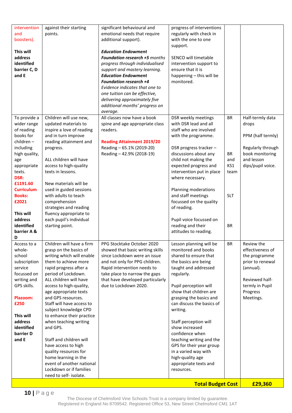| intervention<br>and<br>boosters).<br>This will                                                                                                                                                              | against their starting<br>points.                                                                                                                                                                                                                                                                                                                                                                                                                                                                                                                                          | significant behavioural and<br>emotional needs that require<br>additional support).<br><b>Education Endowment</b>                                                                                                                                                                                                  | progress of interventions<br>regularly with check in<br>with the one to one<br>support.                                                                                                                                                                                                                                                                                                                                                                               |                                                            |                                                                                                                                                |
|-------------------------------------------------------------------------------------------------------------------------------------------------------------------------------------------------------------|----------------------------------------------------------------------------------------------------------------------------------------------------------------------------------------------------------------------------------------------------------------------------------------------------------------------------------------------------------------------------------------------------------------------------------------------------------------------------------------------------------------------------------------------------------------------------|--------------------------------------------------------------------------------------------------------------------------------------------------------------------------------------------------------------------------------------------------------------------------------------------------------------------|-----------------------------------------------------------------------------------------------------------------------------------------------------------------------------------------------------------------------------------------------------------------------------------------------------------------------------------------------------------------------------------------------------------------------------------------------------------------------|------------------------------------------------------------|------------------------------------------------------------------------------------------------------------------------------------------------|
| address<br>identified<br>barrier C, D<br>and E                                                                                                                                                              |                                                                                                                                                                                                                                                                                                                                                                                                                                                                                                                                                                            | Foundation research +5 months<br>progress through individualised<br>support and mastery learning.<br><b>Education Endowment</b><br><b>Foundation research +4</b><br>Evidence indicates that one to<br>one tuition can be effective,<br>delivering approximately five<br>additional months' progress on<br>average. | SENCO will timetable<br>intervention support to<br>ensure that it is<br>happening - this will be<br>monitored.                                                                                                                                                                                                                                                                                                                                                        |                                                            |                                                                                                                                                |
| To provide a<br>wider range<br>of reading<br>books for                                                                                                                                                      | Children will use new,<br>updated materials to<br>inspire a love of reading<br>and in turn improve                                                                                                                                                                                                                                                                                                                                                                                                                                                                         | All classes now have a book<br>spine and age appropriate class<br>readers.                                                                                                                                                                                                                                         | DSR weekly meetings<br>with DSR lead and all<br>staff who are involved<br>with the programme.                                                                                                                                                                                                                                                                                                                                                                         | <b>BR</b>                                                  | Half-termly data<br>drops<br>PPM (half termly)                                                                                                 |
| children-<br>including<br>high quality,<br>age<br>appropriate<br>texts.<br><b>DSR:</b><br>£1191.60<br><b>Curriculum</b><br><b>Books:</b><br>£2021<br>This will<br>address<br>identified<br>barrier A &<br>D | reading attainment and<br>progress.<br>ALL children will have<br>access to high-quality<br>texts in lessons.<br>New materials will be<br>used in guided sessions<br>with adults to teach<br>comprehension<br>strategies and reading<br>fluency appropriate to<br>each pupil's individual<br>starting point.                                                                                                                                                                                                                                                                | <b>Reading Attainment 2019/20</b><br>Reading - 65.1% (2019-20)<br>Reading - 42.9% (2018-19)                                                                                                                                                                                                                        | DSR progress tracker -<br>discussions about any<br>child not making the<br>expected progress and<br>intervention put in place<br>where necessary.<br>Planning moderations<br>and staff meetings<br>focussed on the quality<br>of reading.<br>Pupil voice focussed on<br>reading and their<br>attitudes to reading.                                                                                                                                                    | <b>BR</b><br>and<br>KS1<br>team<br><b>SLT</b><br><b>BR</b> | Regularly through<br>book monitoring<br>and lesson<br>dips/pupil voice.                                                                        |
| Access to a<br>whole-<br>school<br>subscription<br>service<br>focussed on<br>writing and<br>GPS skills.<br>Plazoom:<br>£250<br>This will<br>address<br>identified<br>barrier D<br>and E                     | Children will have a firm<br>grasp on the basics of<br>writing which will enable<br>them to achieve more<br>rapid progress after a<br>period of Lockdown.<br>ALL children will have<br>access to high-quality,<br>age appropriate texts<br>and GPS resources.<br>Staff will have access to<br>subject knowledge CPD<br>to enhance their practice<br>when teaching writing<br>and GPS.<br>Staff and children will<br>have access to high<br>quality resources for<br>home learning in the<br>event of another national<br>Lockdown or if families<br>need to self- isolate. | PPG Stocktake October 2020<br>showed that basic writing skills<br>since Lockdown were an issue<br>and not only for PPG children.<br>Rapid intervention needs to<br>take place to narrow the gaps<br>that have developed particularly<br>due to Lockdown 2020.                                                      | Lesson planning will be<br>monitored and books<br>shared to ensure that<br>the basics are being<br>taught and addressed<br>regularly.<br>Pupil perception will<br>show that children are<br>grasping the basics and<br>can discuss the basics of<br>writing.<br>Staff perception will<br>show increased<br>confidence when<br>teaching writing and the<br>GPS for their year group<br>in a varied way with<br>high-quality age<br>appropriate texts and<br>resources. | BR                                                         | Review the<br>effectiveness of<br>the programme<br>prior to renewal<br>(annual).<br>Reviewed half-<br>termly in Pupil<br>Progress<br>Meetings. |
|                                                                                                                                                                                                             |                                                                                                                                                                                                                                                                                                                                                                                                                                                                                                                                                                            |                                                                                                                                                                                                                                                                                                                    | <b>Total Budget Cost</b>                                                                                                                                                                                                                                                                                                                                                                                                                                              |                                                            | £29,360                                                                                                                                        |

The Diocese of Chelmsford Vine Schools Trust is a company limited by guarantee. Registered in England No 8709542. Registered Office 53, New Street Chelmsford CM1 1AT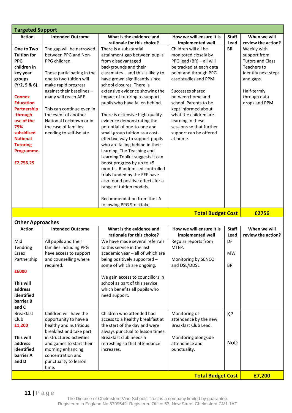| <b>Targeted Support</b>                                                                               |              |                         |  |  |  |
|-------------------------------------------------------------------------------------------------------|--------------|-------------------------|--|--|--|
| How we will ensure it is<br><b>Intended Outcome</b><br>What is the evidence and<br><b>Action</b>      | <b>Staff</b> | When we will            |  |  |  |
| rationale for this choice?<br>implemented well                                                        | Lead         | review the action?      |  |  |  |
| One to Two<br>There is a substantial<br>Children will all be<br>The gap will be narrowed              | <b>BR</b>    | Weekly with             |  |  |  |
| between PPG and Non-<br><b>Tuition for</b><br>monitored closely by<br>attainment gap between pupils   |              | support from            |  |  |  |
| <b>PPG</b><br>PPG children.<br>from disadvantaged<br>PPG lead (BR) - all will                         |              | <b>Tutors and Class</b> |  |  |  |
| children in<br>backgrounds and their<br>be tracked at each data                                       |              | Teachers to             |  |  |  |
| classmates - and this is likely to<br>point and through PPG<br>key year<br>Those participating in the |              | identify next steps     |  |  |  |
| case studies and PPM.<br>one to two tuition will<br>have grown significantly since<br>groups          |              | and gaps.               |  |  |  |
| school closures. There is<br>(Yr2, 5 & 6).<br>make rapid progress                                     |              |                         |  |  |  |
| against their baselines -<br>extensive evidence showing the<br>Successes shared                       |              | Half-termly             |  |  |  |
| impact of tutoring to support<br>between home and<br><b>Connex</b><br>many will reach ARE.            |              | through data            |  |  |  |
| <b>Education</b><br>pupils who have fallen behind.<br>school. Parents to be                           |              | drops and PPM.          |  |  |  |
| <b>Partnership</b><br>This can continue even in<br>kept informed about                                |              |                         |  |  |  |
| -through<br>the event of another<br>what the children are<br>There is extensive high-quality          |              |                         |  |  |  |
| use of the<br>National Lockdown or in<br>evidence demonstrating the<br>learning in these              |              |                         |  |  |  |
| 75%<br>the case of families<br>potential of one-to-one and<br>sessions so that further                |              |                         |  |  |  |
| subsidised<br>needing to self-isolate.<br>small-group tuition as a cost-<br>support can be offered    |              |                         |  |  |  |
| <b>National</b><br>effective way to support pupils<br>at home.                                        |              |                         |  |  |  |
| who are falling behind in their<br><b>Tutoring</b>                                                    |              |                         |  |  |  |
| learning. The Teaching and<br>Programme.                                                              |              |                         |  |  |  |
| Learning Toolkit suggests it can                                                                      |              |                         |  |  |  |
| boost progress by up to +5<br>£2,756.25                                                               |              |                         |  |  |  |
| months. Randomised controlled                                                                         |              |                         |  |  |  |
| trials funded by the EEF have                                                                         |              |                         |  |  |  |
| also found positive effects for a                                                                     |              |                         |  |  |  |
| range of tuition models.                                                                              |              |                         |  |  |  |
|                                                                                                       |              |                         |  |  |  |
| Recommendation from the LA                                                                            |              |                         |  |  |  |
| following PPG Stocktake,                                                                              |              |                         |  |  |  |

**Total Budget Cost** 

| <b>Other Approaches</b>            |                          |                                  |                          |              |                    |
|------------------------------------|--------------------------|----------------------------------|--------------------------|--------------|--------------------|
| <b>Action</b>                      | <b>Intended Outcome</b>  | What is the evidence and         | How we will ensure it is | <b>Staff</b> | When we will       |
|                                    |                          | rationale for this choice?       | implemented well         | Lead         | review the action? |
| Mid                                | All pupils and their     | We have made several referrals   | Regular reports from     | DF           |                    |
| Tendring                           | families including PPG   | to this service in the last      | MTEP.                    |              |                    |
| Essex                              | have access to support   | academic year - all of which are |                          | <b>MW</b>    |                    |
| Partnership                        | and counselling where    | being positively supported -     | Monitoring by SENCO      |              |                    |
|                                    | required.                | some of which are ongoing.       | and DSL/DDSL.            | <b>BR</b>    |                    |
| £6000                              |                          |                                  |                          |              |                    |
|                                    |                          | We gain access to councillors in |                          |              |                    |
| This will                          |                          | school as part of this service   |                          |              |                    |
| address                            |                          | which benefits all pupils who    |                          |              |                    |
| identified                         |                          | need support.                    |                          |              |                    |
| barrier B                          |                          |                                  |                          |              |                    |
| and C                              |                          |                                  |                          |              |                    |
| <b>Breakfast</b>                   | Children will have the   | Children who attended had        | Monitoring of            | <b>KP</b>    |                    |
| Club                               | opportunity to have a    | access to a healthy breakfast at | attendance by the new    |              |                    |
| £1,200                             | healthy and nutritious   | the start of the day and were    | Breakfast Club Lead.     |              |                    |
|                                    | breakfast and take part  | always punctual to lesson times. |                          |              |                    |
| This will                          | in structured activities | Breakfast club needs a           | Monitoring alongside     |              |                    |
| address                            | and games to start their | refreshing so that attendance    | attendance and           | <b>NoD</b>   |                    |
| identified                         | morning enhancing        | increases.                       | punctuality.             |              |                    |
| barrier A                          | concentration and        |                                  |                          |              |                    |
| and D                              | punctuality to lesson    |                                  |                          |              |                    |
|                                    | time.                    |                                  |                          |              |                    |
| <b>Total Budget Cost</b><br>£7,200 |                          |                                  |                          |              |                    |